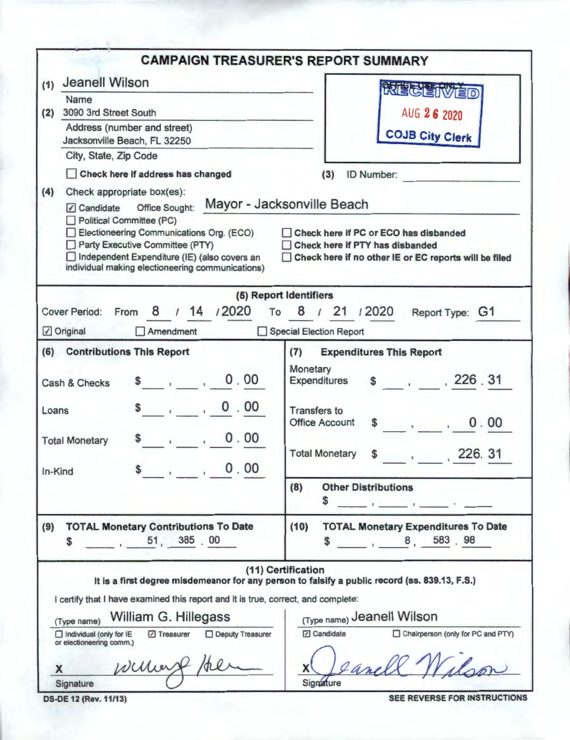|                                                                                                                                                                                                                                                                                                                                                                                                                                                       | <b>CAMPAIGN TREASURER'S REPORT SUMMARY</b>                                                                                                                                                                                                                                                                                                                                                                                                                                                                                                              |
|-------------------------------------------------------------------------------------------------------------------------------------------------------------------------------------------------------------------------------------------------------------------------------------------------------------------------------------------------------------------------------------------------------------------------------------------------------|---------------------------------------------------------------------------------------------------------------------------------------------------------------------------------------------------------------------------------------------------------------------------------------------------------------------------------------------------------------------------------------------------------------------------------------------------------------------------------------------------------------------------------------------------------|
| <b>Jeanell Wilson</b><br>(1)<br>Name<br>3090 3rd Street South<br>(2)<br>Address (number and street)<br>Jacksonville Beach, FL 32250<br>City, State, Zip Code<br>Check here if address has changed<br>(4)<br>Check appropriate box(es):<br>Political Committee (PC)<br>Electioneering Communications Org. (ECO)<br>Party Executive Committee (PTY)<br>Independent Expenditure (IE) (also covers an<br>individual making electioneering communications) | <b>RAEGEIVED</b><br>AUG 26 2020<br><b>COJB City Clerk</b><br>ID Number:<br>(3)<br>Check here if PC or ECO has disbanded<br>Check here if PTY has disbanded<br>Check here if no other IE or EC reports will be filed                                                                                                                                                                                                                                                                                                                                     |
| From 8 / 14 / 2020 To 8 / 21 / 2020<br><b>Cover Period:</b><br>Original<br>$\Box$ Amendment                                                                                                                                                                                                                                                                                                                                                           | (5) Report Identifiers<br>Report Type: G1<br>Special Election Report                                                                                                                                                                                                                                                                                                                                                                                                                                                                                    |
| (6) Contributions This Report<br>0.00<br>$\sim$<br>Cash & Checks<br>$\frac{1}{2}$ , 0.00<br>Loans<br>0.00<br><b>Total Monetary</b><br>$$-.0.00$<br>In-Kind                                                                                                                                                                                                                                                                                            | (7)<br><b>Expenditures This Report</b><br>Monetary<br>\$ 226.31<br>Expenditures<br><b>Transfers to</b><br><b>Office Account</b><br>0.00<br>$\mathbf{r}$ , $\mathbf{r}$ , $\mathbf{r}$ , $\mathbf{r}$<br>$\mathbf{s}$<br><b>Total Monetary</b><br>226. 31<br>\$<br><b>Other Distributions</b><br>(8)<br><b>S</b><br><u>Community of Community Community of Community Community of Community Community Community Community Community Community Community Community Community Community Community Community Community Community Community Community Co</u> |
| <b>TOTAL Monetary Contributions To Date</b><br>(9)<br>$-1, 51, 385, 00$<br>\$                                                                                                                                                                                                                                                                                                                                                                         | <b>TOTAL Monetary Expenditures To Date</b><br>(10)<br>8, 583.98                                                                                                                                                                                                                                                                                                                                                                                                                                                                                         |
| I certify that I have examined this report and it is true, correct, and complete:<br>William G. Hillegass<br>(Type name)<br>□ Treasurer<br><b>Deputy Treasurer</b><br>$\Box$ Individual (only for $IE$<br>or electioneering comm.)<br>williers /te<br>X<br>Signature<br><b>DS-DE 12 (Rev. 11/13)</b>                                                                                                                                                  | (11) Certification<br>It is a first degree misdemeanor for any person to falsify a public record (ss. 839.13, F.S.)<br>(Type name) Jeanell Wilson<br>□ Candidate<br>Chairperson (only for PC and PTY)<br>Lanell<br>Signature<br>SEE REVERSE FOR INSTRUCTIONS                                                                                                                                                                                                                                                                                            |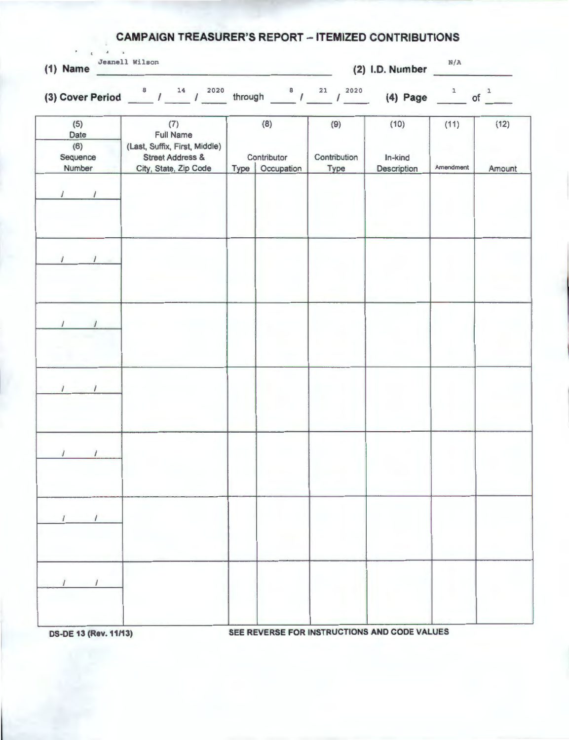| <b>CAMPAIGN TREASURER'S REPORT - ITEMIZED CONTRIBUTIONS</b><br>$\mathbf{A} = \mathbf{A} \mathbf{A} + \mathbf{A} \mathbf{A}$<br>Jeanell Wilson<br>(2) I.D. Number $N/A$<br>$(1)$ Name |                                                                                                                                                                                      |                                         |                             |                                |                   |                |  |  |
|--------------------------------------------------------------------------------------------------------------------------------------------------------------------------------------|--------------------------------------------------------------------------------------------------------------------------------------------------------------------------------------|-----------------------------------------|-----------------------------|--------------------------------|-------------------|----------------|--|--|
|                                                                                                                                                                                      | (3) Cover Period $\frac{8}{\pi}$ / $\frac{14}{\pi}$ / $\frac{2020}{\pi}$ through $\frac{8}{\pi}$ / $\frac{21}{\pi}$ / $\frac{2020}{\pi}$ (4) Page $\frac{1}{\pi}$ of $\frac{1}{\pi}$ |                                         |                             |                                |                   |                |  |  |
| (5)<br>Date<br>(6)<br>Sequence<br>Number                                                                                                                                             | (7)<br><b>Full Name</b><br>(Last, Suffix, First, Middle)<br><b>Street Address &amp;</b><br>City, State, Zip Code                                                                     | (8)<br>Contributor<br>Type   Occupation | (9)<br>Contribution<br>Type | (10)<br>In-kind<br>Description | (11)<br>Amendment | (12)<br>Amount |  |  |
|                                                                                                                                                                                      |                                                                                                                                                                                      |                                         |                             |                                |                   |                |  |  |
|                                                                                                                                                                                      |                                                                                                                                                                                      |                                         |                             |                                |                   |                |  |  |
|                                                                                                                                                                                      |                                                                                                                                                                                      |                                         |                             |                                |                   |                |  |  |
|                                                                                                                                                                                      |                                                                                                                                                                                      |                                         |                             |                                |                   |                |  |  |
|                                                                                                                                                                                      |                                                                                                                                                                                      |                                         |                             |                                |                   |                |  |  |
|                                                                                                                                                                                      |                                                                                                                                                                                      |                                         |                             |                                |                   |                |  |  |
|                                                                                                                                                                                      |                                                                                                                                                                                      |                                         |                             |                                |                   |                |  |  |

**DS-DE 13 (Rev. 11/13)** SEE REVERSE FOR INSTRUCTIONS AND CODE VALUES